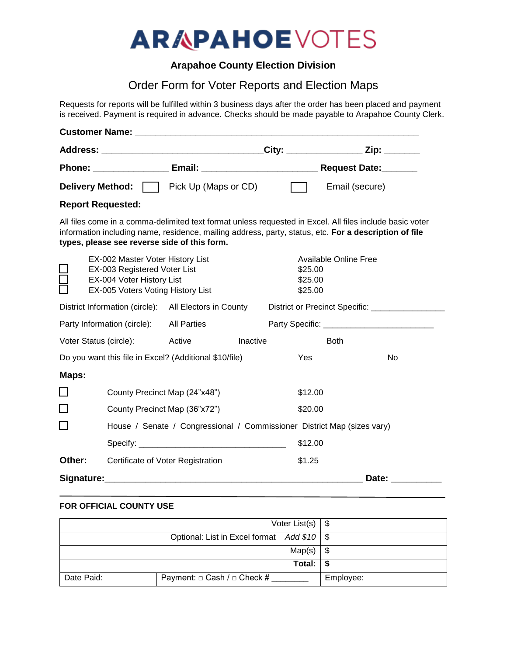# **ARAPAHOEVOTES**

## **Arapahoe County Election Division**

# Order Form for Voter Reports and Election Maps

Requests for reports will be fulfilled within 3 business days after the order has been placed and payment is received. Payment is required in advance. Checks should be made payable to Arapahoe County Clerk.

|                                                        |                                                                                                                                    | <b>Customer Name:</b> The Contract of the Customer Name: |                                            |                                                                                                                                                                                                                   |  |  |
|--------------------------------------------------------|------------------------------------------------------------------------------------------------------------------------------------|----------------------------------------------------------|--------------------------------------------|-------------------------------------------------------------------------------------------------------------------------------------------------------------------------------------------------------------------|--|--|
|                                                        |                                                                                                                                    |                                                          |                                            | Address: __________________________________City: ___________________Zip: _______                                                                                                                                  |  |  |
|                                                        |                                                                                                                                    |                                                          |                                            |                                                                                                                                                                                                                   |  |  |
|                                                        |                                                                                                                                    | <b>Delivery Method:</b>   Pick Up (Maps or CD)           |                                            | Email (secure)                                                                                                                                                                                                    |  |  |
|                                                        | <b>Report Requested:</b>                                                                                                           |                                                          |                                            |                                                                                                                                                                                                                   |  |  |
|                                                        |                                                                                                                                    | types, please see reverse side of this form.             |                                            | All files come in a comma-delimited text format unless requested in Excel. All files include basic voter<br>information including name, residence, mailing address, party, status, etc. For a description of file |  |  |
|                                                        | EX-002 Master Voter History List<br>EX-003 Registered Voter List<br>EX-004 Voter History List<br>EX-005 Voters Voting History List |                                                          |                                            | <b>Available Online Free</b><br>\$25.00<br>\$25.00<br>\$25.00                                                                                                                                                     |  |  |
| District Information (circle): All Electors in County  |                                                                                                                                    |                                                          | District or Precinct Specific: ___________ |                                                                                                                                                                                                                   |  |  |
| Party Information (circle): All Parties                |                                                                                                                                    |                                                          | Party Specific: ____________________       |                                                                                                                                                                                                                   |  |  |
| Voter Status (circle):<br>Active                       |                                                                                                                                    |                                                          | Inactive<br><b>Both</b>                    |                                                                                                                                                                                                                   |  |  |
| Do you want this file in Excel? (Additional \$10/file) |                                                                                                                                    | Yes                                                      | No                                         |                                                                                                                                                                                                                   |  |  |
| Maps:                                                  |                                                                                                                                    |                                                          |                                            |                                                                                                                                                                                                                   |  |  |
| ⊔                                                      |                                                                                                                                    | County Precinct Map (24"x48")                            |                                            | \$12.00                                                                                                                                                                                                           |  |  |
| ⊔                                                      | County Precinct Map (36"x72")                                                                                                      |                                                          |                                            | \$20.00                                                                                                                                                                                                           |  |  |
| П                                                      | House / Senate / Congressional / Commissioner District Map (sizes vary)                                                            |                                                          |                                            |                                                                                                                                                                                                                   |  |  |
|                                                        |                                                                                                                                    | Specify: $\qquad \qquad$                                 | \$12.00                                    |                                                                                                                                                                                                                   |  |  |
| Other:                                                 |                                                                                                                                    | Certificate of Voter Registration                        | \$1.25                                     |                                                                                                                                                                                                                   |  |  |
| Signature:                                             |                                                                                                                                    |                                                          |                                            | Date:                                                                                                                                                                                                             |  |  |

#### **FOR OFFICIAL COUNTY USE**

|            |                                              | Voter List(s) $\frac{1}{2}$ |           |
|------------|----------------------------------------------|-----------------------------|-----------|
|            | Optional: List in Excel format Add \$10   \$ |                             |           |
|            |                                              | Map(s)                      | -\$       |
|            |                                              | Total: $\vert \$$           |           |
| Date Paid: | Payment: $\Box$ Cash / $\Box$ Check #        |                             | Employee: |